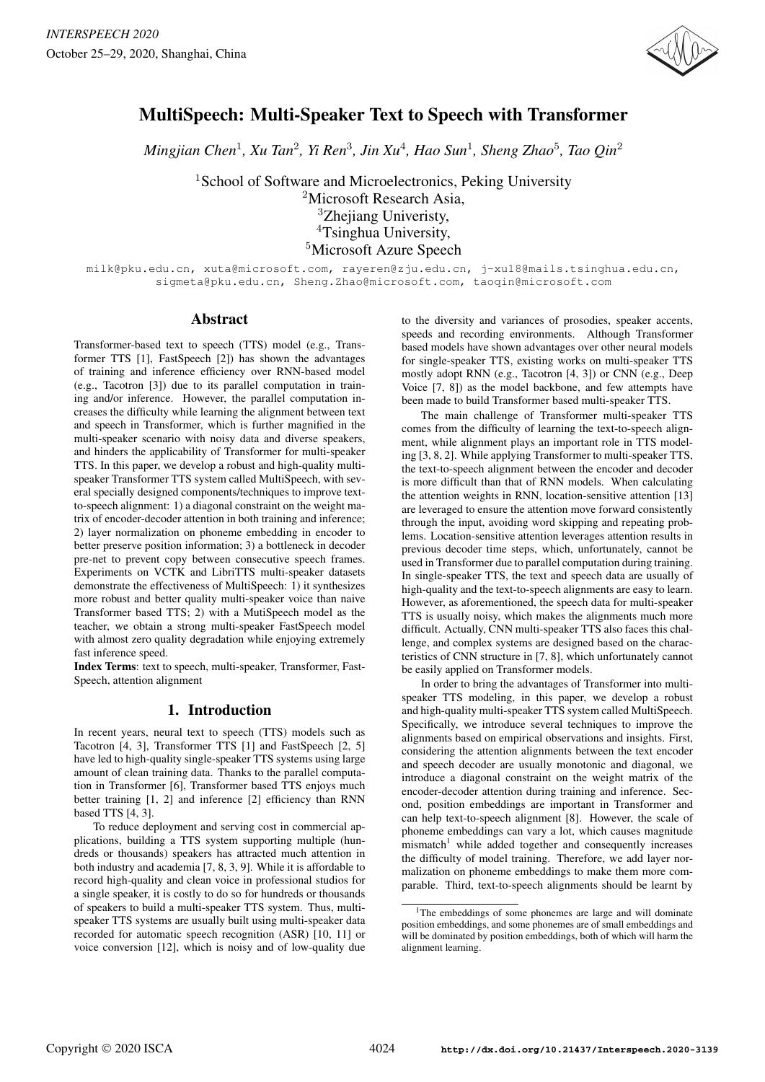

# MultiSpeech: Multi-Speaker Text to Speech with Transformer

 $M$ ingjian Chen<sup>1</sup>, Xu Tan<sup>2</sup>, Yi Ren<sup>3</sup>, Jin Xu<sup>4</sup>, Hao Sun<sup>1</sup>, Sheng Zhao<sup>5</sup>, Tao Qin<sup>2</sup>

<sup>1</sup>School of Software and Microelectronics, Peking University <sup>2</sup>Microsoft Research Asia, <sup>3</sup>Zheiiang Univeristy, <sup>4</sup>Tsinghua University, <sup>5</sup>Microsoft Azure Speech

milk@pku.edu.cn, xuta@microsoft.com, rayeren@zju.edu.cn, j-xu18@mails.tsinghua.edu.cn, sigmeta@pku.edu.cn, Sheng.Zhao@microsoft.com, taoqin@microsoft.com

### Abstract

Transformer-based text to speech (TTS) model (e.g., Transformer TTS [1], FastSpeech [2]) has shown the advantages of training and inference efficiency over RNN-based model (e.g., Tacotron [3]) due to its parallel computation in training and/or inference. However, the parallel computation increases the difficulty while learning the alignment between text and speech in Transformer, which is further magnified in the multi-speaker scenario with noisy data and diverse speakers, and hinders the applicability of Transformer for multi-speaker TTS. In this paper, we develop a robust and high-quality multispeaker Transformer TTS system called MultiSpeech, with several specially designed components/techniques to improve textto-speech alignment: 1) a diagonal constraint on the weight matrix of encoder-decoder attention in both training and inference; 2) layer normalization on phoneme embedding in encoder to better preserve position information; 3) a bottleneck in decoder pre-net to prevent copy between consecutive speech frames. Experiments on VCTK and LibriTTS multi-speaker datasets demonstrate the effectiveness of MultiSpeech: 1) it synthesizes more robust and better quality multi-speaker voice than naive Transformer based TTS; 2) with a MutiSpeech model as the teacher, we obtain a strong multi-speaker FastSpeech model with almost zero quality degradation while enjoying extremely fast inference speed.

Index Terms: text to speech, multi-speaker, Transformer, Fast-Speech, attention alignment

# 1. Introduction

In recent years, neural text to speech (TTS) models such as Tacotron [4, 3], Transformer TTS [1] and FastSpeech [2, 5] have led to high-quality single-speaker TTS systems using large amount of clean training data. Thanks to the parallel computation in Transformer [6], Transformer based TTS enjoys much better training [1, 2] and inference [2] efficiency than RNN based TTS [4, 3].

To reduce deployment and serving cost in commercial applications, building a TTS system supporting multiple (hundreds or thousands) speakers has attracted much attention in both industry and academia [7, 8, 3, 9]. While it is affordable to record high-quality and clean voice in professional studios for a single speaker, it is costly to do so for hundreds or thousands of speakers to build a multi-speaker TTS system. Thus, multispeaker TTS systems are usually built using multi-speaker data recorded for automatic speech recognition (ASR) [10, 11] or voice conversion [12], which is noisy and of low-quality due to the diversity and variances of prosodies, speaker accents, speeds and recording environments. Although Transformer based models have shown advantages over other neural models for single-speaker TTS, existing works on multi-speaker TTS mostly adopt RNN (e.g., Tacotron [4, 3]) or CNN (e.g., Deep Voice [7, 8]) as the model backbone, and few attempts have been made to build Transformer based multi-speaker TTS.

The main challenge of Transformer multi-speaker TTS comes from the difficulty of learning the text-to-speech alignment, while alignment plays an important role in TTS modeling [3, 8, 2]. While applying Transformer to multi-speaker TTS, the text-to-speech alignment between the encoder and decoder is more difficult than that of RNN models. When calculating the attention weights in RNN, location-sensitive attention [13] are leveraged to ensure the attention move forward consistently through the input, avoiding word skipping and repeating problems. Location-sensitive attention leverages attention results in previous decoder time steps, which, unfortunately, cannot be used in Transformer due to parallel computation during training. In single-speaker TTS, the text and speech data are usually of high-quality and the text-to-speech alignments are easy to learn. However, as aforementioned, the speech data for multi-speaker TTS is usually noisy, which makes the alignments much more difficult. Actually, CNN multi-speaker TTS also faces this challenge, and complex systems are designed based on the characteristics of CNN structure in [7, 8], which unfortunately cannot be easily applied on Transformer models.

In order to bring the advantages of Transformer into multispeaker TTS modeling, in this paper, we develop a robust and high-quality multi-speaker TTS system called MultiSpeech. Specifically, we introduce several techniques to improve the alignments based on empirical observations and insights. First, considering the attention alignments between the text encoder and speech decoder are usually monotonic and diagonal, we introduce a diagonal constraint on the weight matrix of the encoder-decoder attention during training and inference. Second, position embeddings are important in Transformer and can help text-to-speech alignment [8]. However, the scale of phoneme embeddings can vary a lot, which causes magnitude  $mismatch<sup>1</sup>$  while added together and consequently increases the difficulty of model training. Therefore, we add layer normalization on phoneme embeddings to make them more comparable. Third, text-to-speech alignments should be learnt by

<sup>&</sup>lt;sup>1</sup>The embeddings of some phonemes are large and will dominate position embeddings, and some phonemes are of small embeddings and will be dominated by position embeddings, both of which will harm the alignment learning.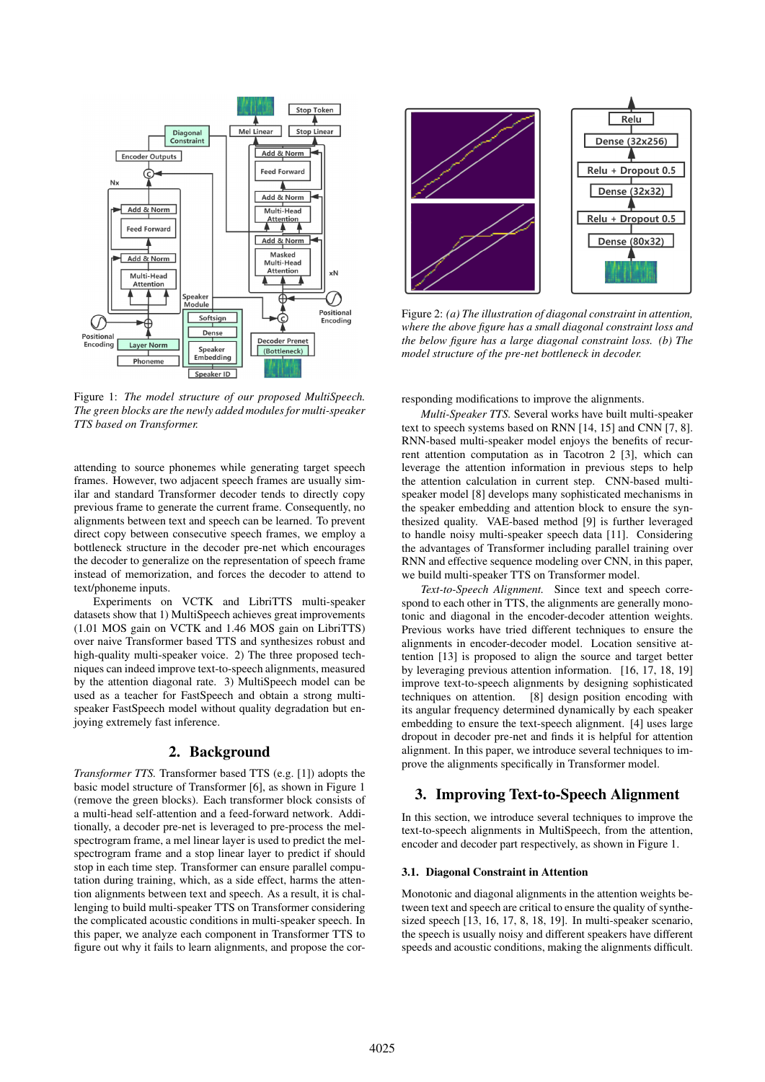

Figure 1: *The model structure of our proposed MultiSpeech. The green blocks are the newly added modules for multi-speaker TTS based on Transformer.*

attending to source phonemes while generating target speech frames. However, two adjacent speech frames are usually similar and standard Transformer decoder tends to directly copy previous frame to generate the current frame. Consequently, no alignments between text and speech can be learned. To prevent direct copy between consecutive speech frames, we employ a bottleneck structure in the decoder pre-net which encourages the decoder to generalize on the representation of speech frame instead of memorization, and forces the decoder to attend to text/phoneme inputs.

Experiments on VCTK and LibriTTS multi-speaker datasets show that 1) MultiSpeech achieves great improvements (1.01 MOS gain on VCTK and 1.46 MOS gain on LibriTTS) over naive Transformer based TTS and synthesizes robust and high-quality multi-speaker voice. 2) The three proposed techniques can indeed improve text-to-speech alignments, measured by the attention diagonal rate. 3) MultiSpeech model can be used as a teacher for FastSpeech and obtain a strong multispeaker FastSpeech model without quality degradation but enjoying extremely fast inference.

# 2. Background

*Transformer TTS.* Transformer based TTS (e.g. [1]) adopts the basic model structure of Transformer [6], as shown in Figure 1 (remove the green blocks). Each transformer block consists of a multi-head self-attention and a feed-forward network. Additionally, a decoder pre-net is leveraged to pre-process the melspectrogram frame, a mel linear layer is used to predict the melspectrogram frame and a stop linear layer to predict if should stop in each time step. Transformer can ensure parallel computation during training, which, as a side effect, harms the attention alignments between text and speech. As a result, it is challenging to build multi-speaker TTS on Transformer considering the complicated acoustic conditions in multi-speaker speech. In this paper, we analyze each component in Transformer TTS to figure out why it fails to learn alignments, and propose the cor-



Figure 2: *(a) The illustration of diagonal constraint in attention, where the above figure has a small diagonal constraint loss and the below figure has a large diagonal constraint loss. (b) The model structure of the pre-net bottleneck in decoder.*

responding modifications to improve the alignments.

*Multi-Speaker TTS.* Several works have built multi-speaker text to speech systems based on RNN [14, 15] and CNN [7, 8]. RNN-based multi-speaker model enjoys the benefits of recurrent attention computation as in Tacotron 2 [3], which can leverage the attention information in previous steps to help the attention calculation in current step. CNN-based multispeaker model [8] develops many sophisticated mechanisms in the speaker embedding and attention block to ensure the synthesized quality. VAE-based method [9] is further leveraged to handle noisy multi-speaker speech data [11]. Considering the advantages of Transformer including parallel training over RNN and effective sequence modeling over CNN, in this paper, we build multi-speaker TTS on Transformer model.

*Text-to-Speech Alignment.* Since text and speech correspond to each other in TTS, the alignments are generally monotonic and diagonal in the encoder-decoder attention weights. Previous works have tried different techniques to ensure the alignments in encoder-decoder model. Location sensitive attention [13] is proposed to align the source and target better by leveraging previous attention information. [16, 17, 18, 19] improve text-to-speech alignments by designing sophisticated techniques on attention. [8] design position encoding with its angular frequency determined dynamically by each speaker embedding to ensure the text-speech alignment. [4] uses large dropout in decoder pre-net and finds it is helpful for attention alignment. In this paper, we introduce several techniques to improve the alignments specifically in Transformer model.

### 3. Improving Text-to-Speech Alignment

In this section, we introduce several techniques to improve the text-to-speech alignments in MultiSpeech, from the attention, encoder and decoder part respectively, as shown in Figure 1.

#### 3.1. Diagonal Constraint in Attention

Monotonic and diagonal alignments in the attention weights between text and speech are critical to ensure the quality of synthesized speech [13, 16, 17, 8, 18, 19]. In multi-speaker scenario, the speech is usually noisy and different speakers have different speeds and acoustic conditions, making the alignments difficult.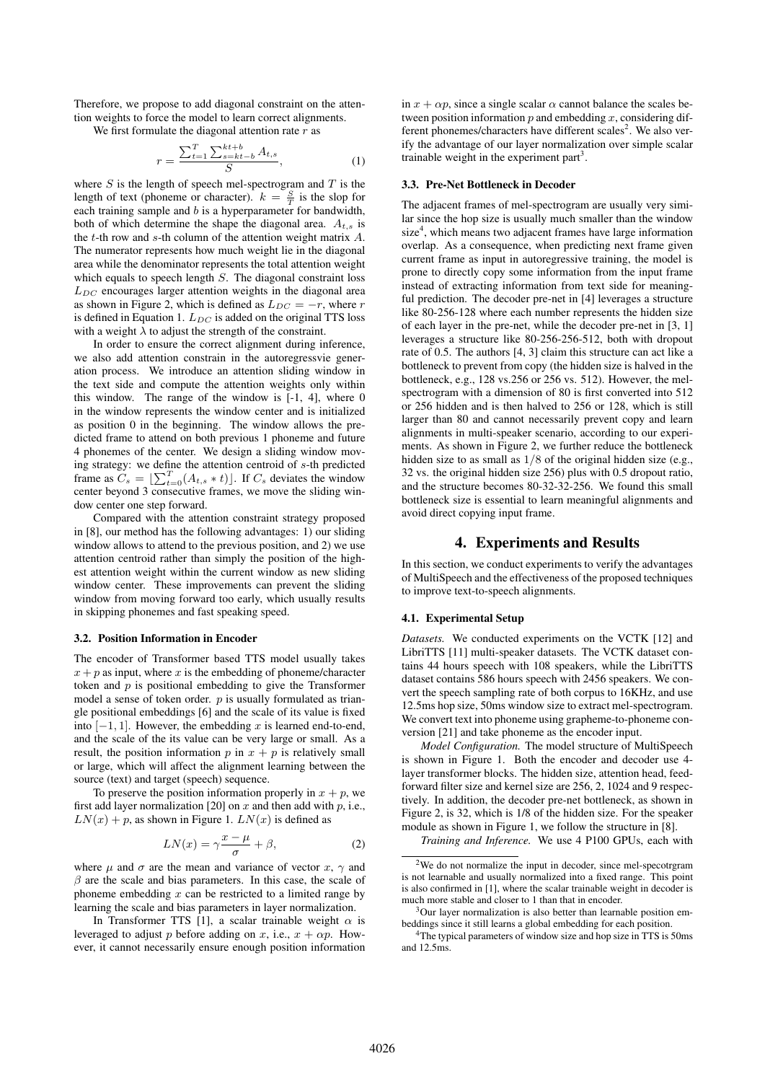Therefore, we propose to add diagonal constraint on the attention weights to force the model to learn correct alignments.

We first formulate the diagonal attention rate  $r$  as

$$
r = \frac{\sum_{t=1}^{T} \sum_{s=kt-b}^{kt+b} A_{t,s}}{S},
$$
\n(1)

where  $S$  is the length of speech mel-spectrogram and  $T$  is the length of text (phoneme or character).  $k = \frac{S}{T}$  is the slop for each training sample and  $b$  is a hyperparameter for bandwidth, both of which determine the shape the diagonal area.  $A_{t,s}$  is the  $t$ -th row and  $s$ -th column of the attention weight matrix  $A$ . The numerator represents how much weight lie in the diagonal area while the denominator represents the total attention weight which equals to speech length  $S$ . The diagonal constraint loss  $L_{DC}$  encourages larger attention weights in the diagonal area as shown in Figure 2, which is defined as  $L_{DC} = -r$ , where r is defined in Equation 1.  $L_{DC}$  is added on the original TTS loss with a weight  $\lambda$  to adjust the strength of the constraint.

In order to ensure the correct alignment during inference, we also add attention constrain in the autoregressvie generation process. We introduce an attention sliding window in the text side and compute the attention weights only within this window. The range of the window is [-1, 4], where 0 in the window represents the window center and is initialized as position 0 in the beginning. The window allows the predicted frame to attend on both previous 1 phoneme and future 4 phonemes of the center. We design a sliding window moving strategy: we define the attention centroid of s-th predicted frame as  $C_s = \left[ \sum_{t=0}^{T} (A_{t,s} * t) \right]$ . If  $C_s$  deviates the window center beyond 3 consecutive frames, we move the sliding window center one step forward.

Compared with the attention constraint strategy proposed in [8], our method has the following advantages: 1) our sliding window allows to attend to the previous position, and 2) we use attention centroid rather than simply the position of the highest attention weight within the current window as new sliding window center. These improvements can prevent the sliding window from moving forward too early, which usually results in skipping phonemes and fast speaking speed.

#### 3.2. Position Information in Encoder

The encoder of Transformer based TTS model usually takes  $x + p$  as input, where x is the embedding of phoneme/character token and  $p$  is positional embedding to give the Transformer model a sense of token order.  $p$  is usually formulated as triangle positional embeddings [6] and the scale of its value is fixed into  $[-1, 1]$ . However, the embedding x is learned end-to-end, and the scale of the its value can be very large or small. As a result, the position information p in  $x + p$  is relatively small or large, which will affect the alignment learning between the source (text) and target (speech) sequence.

To preserve the position information properly in  $x + p$ , we first add layer normalization [20] on  $x$  and then add with  $p$ , i.e.,  $LN(x) + p$ , as shown in Figure 1.  $LN(x)$  is defined as

$$
LN(x) = \gamma \frac{x - \mu}{\sigma} + \beta,\tag{2}
$$

where  $\mu$  and  $\sigma$  are the mean and variance of vector x,  $\gamma$  and  $\beta$  are the scale and bias parameters. In this case, the scale of phoneme embedding  $x$  can be restricted to a limited range by learning the scale and bias parameters in layer normalization.

In Transformer TTS [1], a scalar trainable weight  $\alpha$  is leveraged to adjust p before adding on x, i.e.,  $x + \alpha p$ . However, it cannot necessarily ensure enough position information in  $x + \alpha p$ , since a single scalar  $\alpha$  cannot balance the scales between position information  $p$  and embedding  $x$ , considering different phonemes/characters have different scales<sup>2</sup>. We also verify the advantage of our layer normalization over simple scalar trainable weight in the experiment part<sup>3</sup>.

#### 3.3. Pre-Net Bottleneck in Decoder

The adjacent frames of mel-spectrogram are usually very similar since the hop size is usually much smaller than the window size<sup>4</sup>, which means two adjacent frames have large information overlap. As a consequence, when predicting next frame given current frame as input in autoregressive training, the model is prone to directly copy some information from the input frame instead of extracting information from text side for meaningful prediction. The decoder pre-net in [4] leverages a structure like 80-256-128 where each number represents the hidden size of each layer in the pre-net, while the decoder pre-net in [3, 1] leverages a structure like 80-256-256-512, both with dropout rate of 0.5. The authors [4, 3] claim this structure can act like a bottleneck to prevent from copy (the hidden size is halved in the bottleneck, e.g., 128 vs.256 or 256 vs. 512). However, the melspectrogram with a dimension of 80 is first converted into 512 or 256 hidden and is then halved to 256 or 128, which is still larger than 80 and cannot necessarily prevent copy and learn alignments in multi-speaker scenario, according to our experiments. As shown in Figure 2, we further reduce the bottleneck hidden size to as small as  $1/8$  of the original hidden size (e.g., 32 vs. the original hidden size 256) plus with 0.5 dropout ratio, and the structure becomes 80-32-32-256. We found this small bottleneck size is essential to learn meaningful alignments and avoid direct copying input frame.

#### 4. Experiments and Results

In this section, we conduct experiments to verify the advantages of MultiSpeech and the effectiveness of the proposed techniques to improve text-to-speech alignments.

#### 4.1. Experimental Setup

*Datasets.* We conducted experiments on the VCTK [12] and LibriTTS [11] multi-speaker datasets. The VCTK dataset contains 44 hours speech with 108 speakers, while the LibriTTS dataset contains 586 hours speech with 2456 speakers. We convert the speech sampling rate of both corpus to 16KHz, and use 12.5ms hop size, 50ms window size to extract mel-spectrogram. We convert text into phoneme using grapheme-to-phoneme conversion [21] and take phoneme as the encoder input.

*Model Configuration.* The model structure of MultiSpeech is shown in Figure 1. Both the encoder and decoder use 4 layer transformer blocks. The hidden size, attention head, feedforward filter size and kernel size are 256, 2, 1024 and 9 respectively. In addition, the decoder pre-net bottleneck, as shown in Figure 2, is 32, which is 1/8 of the hidden size. For the speaker module as shown in Figure 1, we follow the structure in [8].

*Training and Inference.* We use 4 P100 GPUs, each with

<sup>2</sup>We do not normalize the input in decoder, since mel-specotrgram is not learnable and usually normalized into a fixed range. This point is also confirmed in [1], where the scalar trainable weight in decoder is much more stable and closer to 1 than that in encoder.

<sup>&</sup>lt;sup>3</sup>Our layer normalization is also better than learnable position embeddings since it still learns a global embedding for each position.

<sup>4</sup>The typical parameters of window size and hop size in TTS is 50ms and 12.5ms.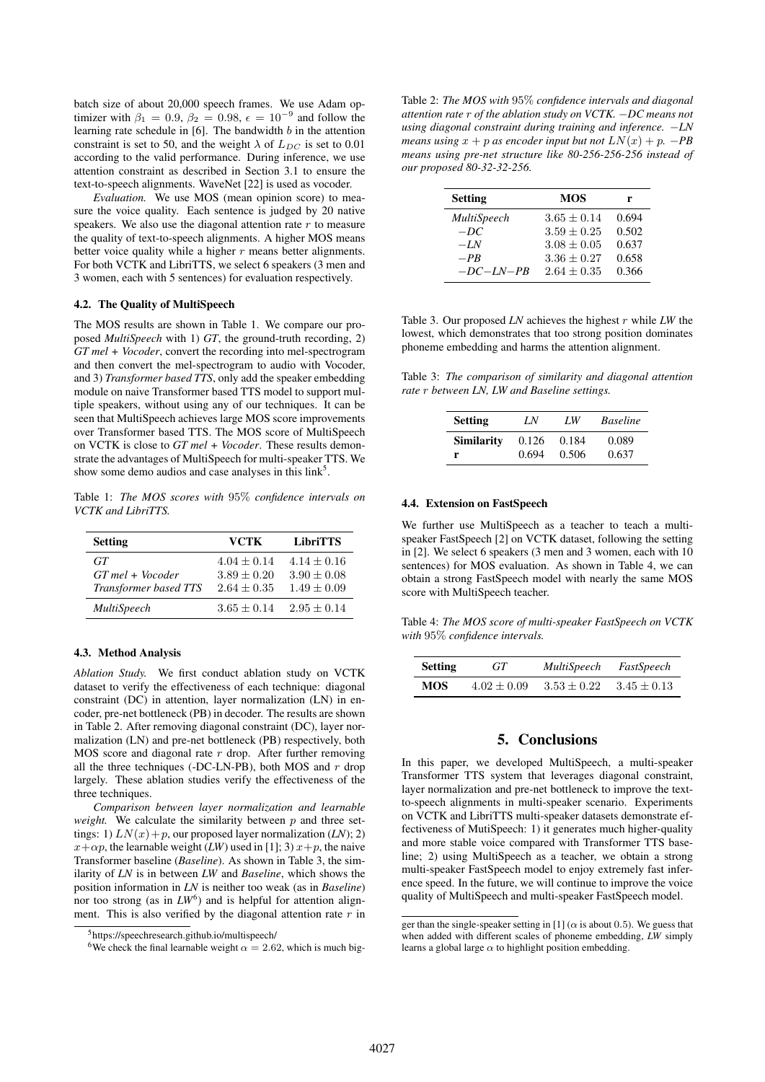batch size of about 20,000 speech frames. We use Adam optimizer with  $\beta_1 = 0.9$ ,  $\beta_2 = 0.98$ ,  $\epsilon = 10^{-9}$  and follow the learning rate schedule in  $[6]$ . The bandwidth  $b$  in the attention constraint is set to 50, and the weight  $\lambda$  of  $L_{DC}$  is set to 0.01 according to the valid performance. During inference, we use attention constraint as described in Section 3.1 to ensure the text-to-speech alignments. WaveNet [22] is used as vocoder.

*Evaluation.* We use MOS (mean opinion score) to measure the voice quality. Each sentence is judged by 20 native speakers. We also use the diagonal attention rate  $r$  to measure the quality of text-to-speech alignments. A higher MOS means better voice quality while a higher  $r$  means better alignments. For both VCTK and LibriTTS, we select 6 speakers (3 men and 3 women, each with 5 sentences) for evaluation respectively.

#### 4.2. The Quality of MultiSpeech

The MOS results are shown in Table 1. We compare our proposed *MultiSpeech* with 1) *GT*, the ground-truth recording, 2) *GT mel + Vocoder*, convert the recording into mel-spectrogram and then convert the mel-spectrogram to audio with Vocoder, and 3) *Transformer based TTS*, only add the speaker embedding module on naive Transformer based TTS model to support multiple speakers, without using any of our techniques. It can be seen that MultiSpeech achieves large MOS score improvements over Transformer based TTS. The MOS score of MultiSpeech on VCTK is close to *GT mel + Vocoder*. These results demonstrate the advantages of MultiSpeech for multi-speaker TTS. We show some demo audios and case analyses in this link<sup>5</sup>.

Table 1: *The MOS scores with* 95% *confidence intervals on VCTK and LibriTTS.*

| <b>Setting</b>        | VCTK            | <b>LibriTTS</b> |
|-----------------------|-----------------|-----------------|
| GT                    | $4.04 + 0.14$   | $4.14 \pm 0.16$ |
| $GT$ mel + Vocoder    | $3.89 + 0.20$   | $3.90 + 0.08$   |
| Transformer based TTS | $2.64 \pm 0.35$ | $1.49 \pm 0.09$ |
| MultiSpeech           | $3.65 + 0.14$   | $2.95 \pm 0.14$ |

#### 4.3. Method Analysis

*Ablation Study.* We first conduct ablation study on VCTK dataset to verify the effectiveness of each technique: diagonal constraint (DC) in attention, layer normalization (LN) in encoder, pre-net bottleneck (PB) in decoder. The results are shown in Table 2. After removing diagonal constraint (DC), layer normalization (LN) and pre-net bottleneck (PB) respectively, both MOS score and diagonal rate  $r$  drop. After further removing all the three techniques (-DC-LN-PB), both MOS and  $r$  drop largely. These ablation studies verify the effectiveness of the three techniques.

*Comparison between layer normalization and learnable weight.* We calculate the similarity between  $p$  and three settings: 1)  $LN(x) + p$ , our proposed layer normalization (*LN*); 2)  $x+\alpha p$ , the learnable weight (*LW*) used in [1]; 3)  $x+p$ , the naive Transformer baseline (*Baseline*). As shown in Table 3, the similarity of *LN* is in between *LW* and *Baseline*, which shows the position information in *LN* is neither too weak (as in *Baseline*) nor too strong (as in  $LW^6$ ) and is helpful for attention alignment. This is also verified by the diagonal attention rate  $r$  in

Table 2: *The MOS with* 95% *confidence intervals and diagonal attention rate* r *of the ablation study on VCTK.* −*DC means not using diagonal constraint during training and inference.* −*LN means using*  $x + p$  *as encoder input but not*  $LN(x) + p$ *.* −*PB means using pre-net structure like 80-256-256-256 instead of our proposed 80-32-32-256.*

| <b>Setting</b> | MOS             | r     |
|----------------|-----------------|-------|
| MultiSpeech    | $3.65 \pm 0.14$ | 0.694 |
| $-DC$          | $3.59 + 0.25$   | 0.502 |
| $-IN$          | $3.08 \pm 0.05$ | 0.637 |
| $-PR$          | $3.36 \pm 0.27$ | 0.658 |
| $-DC-LN-PB$    | $2.64 + 0.35$   | 0.366 |

Table 3. Our proposed *LN* achieves the highest r while *LW* the lowest, which demonstrates that too strong position dominates phoneme embedding and harms the attention alignment.

Table 3: *The comparison of similarity and diagonal attention rate* r *between LN, LW and Baseline settings.*

| <b>Setting</b>    | LN    | LW    | <b>Baseline</b> |
|-------------------|-------|-------|-----------------|
| <b>Similarity</b> | 0.126 | 0.184 | 0.089           |
| r                 | 0.694 | 0.506 | 0.637           |

#### 4.4. Extension on FastSpeech

We further use MultiSpeech as a teacher to teach a multispeaker FastSpeech [2] on VCTK dataset, following the setting in [2]. We select 6 speakers (3 men and 3 women, each with 10 sentences) for MOS evaluation. As shown in Table 4, we can obtain a strong FastSpeech model with nearly the same MOS score with MultiSpeech teacher.

Table 4: *The MOS score of multi-speaker FastSpeech on VCTK with* 95% *confidence intervals.*

| <b>Setting</b> | GT              | MultiSpeech     | FastSpeech      |
|----------------|-----------------|-----------------|-----------------|
| MOS.           | $4.02 \pm 0.09$ | $3.53 \pm 0.22$ | $3.45 \pm 0.13$ |

# 5. Conclusions

In this paper, we developed MultiSpeech, a multi-speaker Transformer TTS system that leverages diagonal constraint, layer normalization and pre-net bottleneck to improve the textto-speech alignments in multi-speaker scenario. Experiments on VCTK and LibriTTS multi-speaker datasets demonstrate effectiveness of MutiSpeech: 1) it generates much higher-quality and more stable voice compared with Transformer TTS baseline; 2) using MultiSpeech as a teacher, we obtain a strong multi-speaker FastSpeech model to enjoy extremely fast inference speed. In the future, we will continue to improve the voice quality of MultiSpeech and multi-speaker FastSpeech model.

<sup>5</sup>https://speechresearch.github.io/multispeech/

<sup>&</sup>lt;sup>6</sup>We check the final learnable weight  $\alpha = 2.62$ , which is much big-

ger than the single-speaker setting in [1] ( $\alpha$  is about 0.5). We guess that when added with different scales of phoneme embedding, *LW* simply learns a global large  $\alpha$  to highlight position embedding.